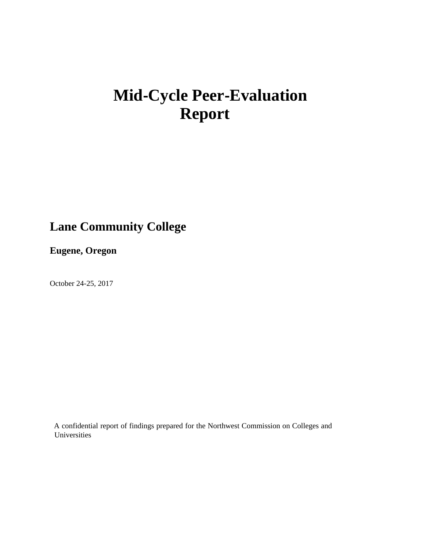# **Mid**‐**Cycle Peer**‐**Evaluation Report**

## **Lane Community College**

**Eugene, Oregon**

October 24-25, 2017

A confidential report of findings prepared for the Northwest Commission on Colleges and Universities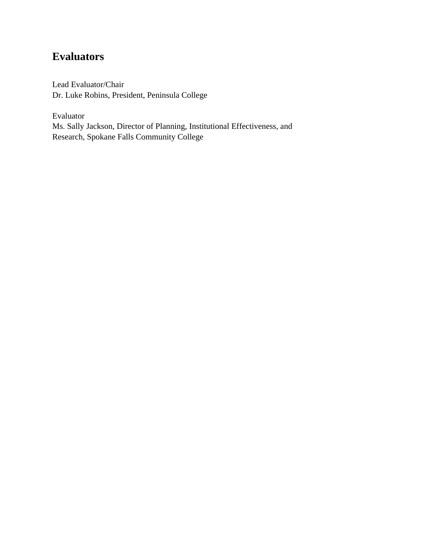## **Evaluators**

Lead Evaluator/Chair Dr. Luke Robins, President, Peninsula College

Evaluator Ms. Sally Jackson, Director of Planning, Institutional Effectiveness, and Research, Spokane Falls Community College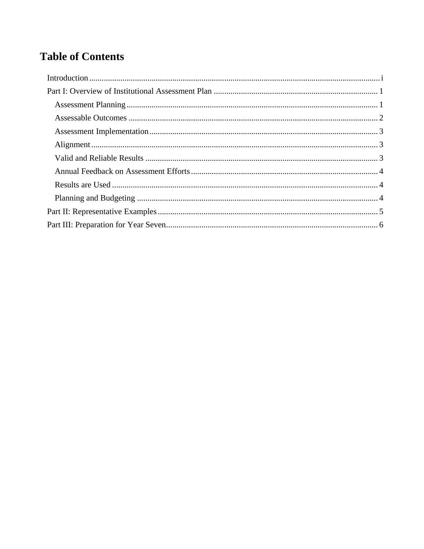## **Table of Contents**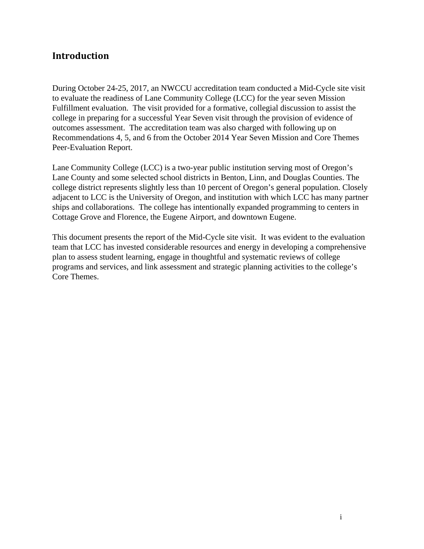## **Introduction**

During October 24-25, 2017, an NWCCU accreditation team conducted a Mid-Cycle site visit to evaluate the readiness of Lane Community College (LCC) for the year seven Mission Fulfillment evaluation. The visit provided for a formative, collegial discussion to assist the college in preparing for a successful Year Seven visit through the provision of evidence of outcomes assessment. The accreditation team was also charged with following up on Recommendations 4, 5, and 6 from the October 2014 Year Seven Mission and Core Themes Peer-Evaluation Report.

Lane Community College (LCC) is a two-year public institution serving most of Oregon's Lane County and some selected school districts in Benton, Linn, and Douglas Counties. The college district represents slightly less than 10 percent of Oregon's general population. Closely adjacent to LCC is the University of Oregon, and institution with which LCC has many partner ships and collaborations. The college has intentionally expanded programming to centers in Cottage Grove and Florence, the Eugene Airport, and downtown Eugene.

This document presents the report of the Mid-Cycle site visit. It was evident to the evaluation team that LCC has invested considerable resources and energy in developing a comprehensive plan to assess student learning, engage in thoughtful and systematic reviews of college programs and services, and link assessment and strategic planning activities to the college's Core Themes.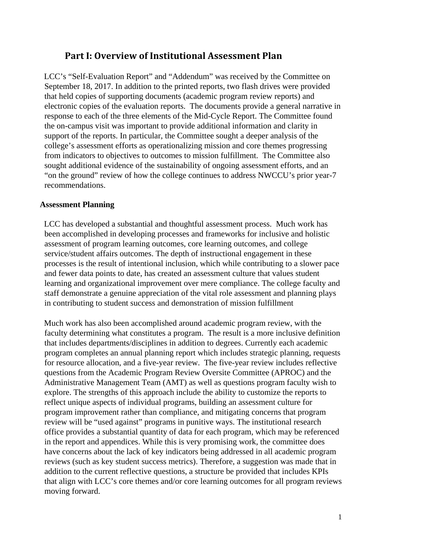### **Part I: Overview of Institutional Assessment Plan**

LCC's "Self-Evaluation Report" and "Addendum" was received by the Committee on September 18, 2017. In addition to the printed reports, two flash drives were provided that held copies of supporting documents (academic program review reports) and electronic copies of the evaluation reports. The documents provide a general narrative in response to each of the three elements of the Mid-Cycle Report. The Committee found the on-campus visit was important to provide additional information and clarity in support of the reports. In particular, the Committee sought a deeper analysis of the college's assessment efforts as operationalizing mission and core themes progressing from indicators to objectives to outcomes to mission fulfillment. The Committee also sought additional evidence of the sustainability of ongoing assessment efforts, and an "on the ground" review of how the college continues to address NWCCU's prior year-7 recommendations.

#### **Assessment Planning**

LCC has developed a substantial and thoughtful assessment process. Much work has been accomplished in developing processes and frameworks for inclusive and holistic assessment of program learning outcomes, core learning outcomes, and college service/student affairs outcomes. The depth of instructional engagement in these processes is the result of intentional inclusion, which while contributing to a slower pace and fewer data points to date, has created an assessment culture that values student learning and organizational improvement over mere compliance. The college faculty and staff demonstrate a genuine appreciation of the vital role assessment and planning plays in contributing to student success and demonstration of mission fulfillment

Much work has also been accomplished around academic program review, with the faculty determining what constitutes a program. The result is a more inclusive definition that includes departments/disciplines in addition to degrees. Currently each academic program completes an annual planning report which includes strategic planning, requests for resource allocation, and a five-year review. The five-year review includes reflective questions from the Academic Program Review Oversite Committee (APROC) and the Administrative Management Team (AMT) as well as questions program faculty wish to explore. The strengths of this approach include the ability to customize the reports to reflect unique aspects of individual programs, building an assessment culture for program improvement rather than compliance, and mitigating concerns that program review will be "used against" programs in punitive ways. The institutional research office provides a substantial quantity of data for each program, which may be referenced in the report and appendices. While this is very promising work, the committee does have concerns about the lack of key indicators being addressed in all academic program reviews (such as key student success metrics). Therefore, a suggestion was made that in addition to the current reflective questions, a structure be provided that includes KPIs that align with LCC's core themes and/or core learning outcomes for all program reviews moving forward.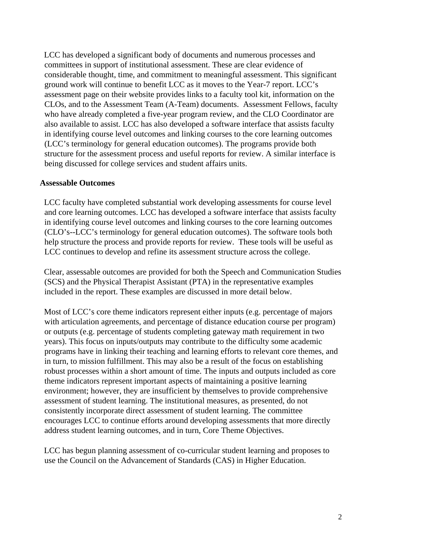LCC has developed a significant body of documents and numerous processes and committees in support of institutional assessment. These are clear evidence of considerable thought, time, and commitment to meaningful assessment. This significant ground work will continue to benefit LCC as it moves to the Year-7 report. LCC's assessment page on their website provides links to a faculty tool kit, information on the CLOs, and to the Assessment Team (A-Team) documents. Assessment Fellows, faculty who have already completed a five-year program review, and the CLO Coordinator are also available to assist. LCC has also developed a software interface that assists faculty in identifying course level outcomes and linking courses to the core learning outcomes (LCC's terminology for general education outcomes). The programs provide both structure for the assessment process and useful reports for review. A similar interface is being discussed for college services and student affairs units.

#### **Assessable Outcomes**

LCC faculty have completed substantial work developing assessments for course level and core learning outcomes. LCC has developed a software interface that assists faculty in identifying course level outcomes and linking courses to the core learning outcomes (CLO's--LCC's terminology for general education outcomes). The software tools both help structure the process and provide reports for review. These tools will be useful as LCC continues to develop and refine its assessment structure across the college.

Clear, assessable outcomes are provided for both the Speech and Communication Studies (SCS) and the Physical Therapist Assistant (PTA) in the representative examples included in the report. These examples are discussed in more detail below.

Most of LCC's core theme indicators represent either inputs (e.g. percentage of majors with articulation agreements, and percentage of distance education course per program) or outputs (e.g. percentage of students completing gateway math requirement in two years). This focus on inputs/outputs may contribute to the difficulty some academic programs have in linking their teaching and learning efforts to relevant core themes, and in turn, to mission fulfillment. This may also be a result of the focus on establishing robust processes within a short amount of time. The inputs and outputs included as core theme indicators represent important aspects of maintaining a positive learning environment; however, they are insufficient by themselves to provide comprehensive assessment of student learning. The institutional measures, as presented, do not consistently incorporate direct assessment of student learning. The committee encourages LCC to continue efforts around developing assessments that more directly address student learning outcomes, and in turn, Core Theme Objectives.

LCC has begun planning assessment of co-curricular student learning and proposes to use the Council on the Advancement of Standards (CAS) in Higher Education.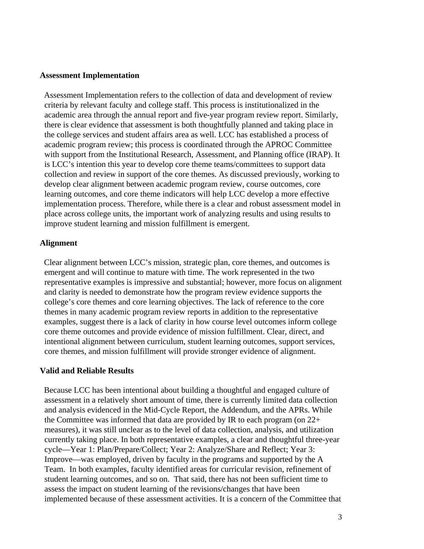#### **Assessment Implementation**

Assessment Implementation refers to the collection of data and development of review criteria by relevant faculty and college staff. This process is institutionalized in the academic area through the annual report and five-year program review report. Similarly, there is clear evidence that assessment is both thoughtfully planned and taking place in the college services and student affairs area as well. LCC has established a process of academic program review; this process is coordinated through the APROC Committee with support from the Institutional Research, Assessment, and Planning office (IRAP). It is LCC's intention this year to develop core theme teams/committees to support data collection and review in support of the core themes. As discussed previously, working to develop clear alignment between academic program review, course outcomes, core learning outcomes, and core theme indicators will help LCC develop a more effective implementation process. Therefore, while there is a clear and robust assessment model in place across college units, the important work of analyzing results and using results to improve student learning and mission fulfillment is emergent.

#### **Alignment**

Clear alignment between LCC's mission, strategic plan, core themes, and outcomes is emergent and will continue to mature with time. The work represented in the two representative examples is impressive and substantial; however, more focus on alignment and clarity is needed to demonstrate how the program review evidence supports the college's core themes and core learning objectives. The lack of reference to the core themes in many academic program review reports in addition to the representative examples, suggest there is a lack of clarity in how course level outcomes inform college core theme outcomes and provide evidence of mission fulfillment. Clear, direct, and intentional alignment between curriculum, student learning outcomes, support services, core themes, and mission fulfillment will provide stronger evidence of alignment.

#### **Valid and Reliable Results**

Because LCC has been intentional about building a thoughtful and engaged culture of assessment in a relatively short amount of time, there is currently limited data collection and analysis evidenced in the Mid-Cycle Report, the Addendum, and the APRs. While the Committee was informed that data are provided by IR to each program (on 22+ measures), it was still unclear as to the level of data collection, analysis, and utilization currently taking place. In both representative examples, a clear and thoughtful three-year cycle—Year 1: Plan/Prepare/Collect; Year 2: Analyze/Share and Reflect; Year 3: Improve—was employed, driven by faculty in the programs and supported by the A Team. In both examples, faculty identified areas for curricular revision, refinement of student learning outcomes, and so on. That said, there has not been sufficient time to assess the impact on student learning of the revisions/changes that have been implemented because of these assessment activities. It is a concern of the Committee that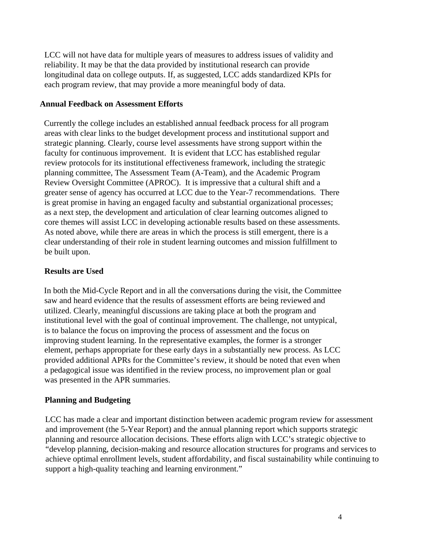LCC will not have data for multiple years of measures to address issues of validity and reliability. It may be that the data provided by institutional research can provide longitudinal data on college outputs. If, as suggested, LCC adds standardized KPIs for each program review, that may provide a more meaningful body of data.

#### **Annual Feedback on Assessment Efforts**

Currently the college includes an established annual feedback process for all program areas with clear links to the budget development process and institutional support and strategic planning. Clearly, course level assessments have strong support within the faculty for continuous improvement. It is evident that LCC has established regular review protocols for its institutional effectiveness framework, including the strategic planning committee, The Assessment Team (A-Team), and the Academic Program Review Oversight Committee (APROC). It is impressive that a cultural shift and a greater sense of agency has occurred at LCC due to the Year-7 recommendations. There is great promise in having an engaged faculty and substantial organizational processes; as a next step, the development and articulation of clear learning outcomes aligned to core themes will assist LCC in developing actionable results based on these assessments. As noted above, while there are areas in which the process is still emergent, there is a clear understanding of their role in student learning outcomes and mission fulfillment to be built upon.

#### **Results are Used**

In both the Mid-Cycle Report and in all the conversations during the visit, the Committee saw and heard evidence that the results of assessment efforts are being reviewed and utilized. Clearly, meaningful discussions are taking place at both the program and institutional level with the goal of continual improvement. The challenge, not untypical, is to balance the focus on improving the process of assessment and the focus on improving student learning. In the representative examples, the former is a stronger element, perhaps appropriate for these early days in a substantially new process. As LCC provided additional APRs for the Committee's review, it should be noted that even when a pedagogical issue was identified in the review process, no improvement plan or goal was presented in the APR summaries.

#### **Planning and Budgeting**

LCC has made a clear and important distinction between academic program review for assessment and improvement (the 5-Year Report) and the annual planning report which supports strategic planning and resource allocation decisions. These efforts align with LCC's strategic objective to "develop planning, decision-making and resource allocation structures for programs and services to achieve optimal enrollment levels, student affordability, and fiscal sustainability while continuing to support a high-quality teaching and learning environment."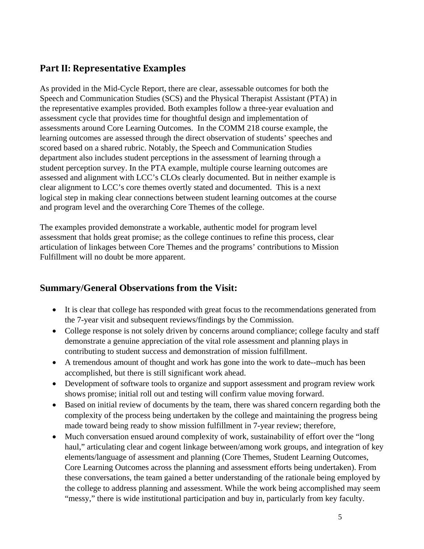## **Part II: Representative Examples**

As provided in the Mid-Cycle Report, there are clear, assessable outcomes for both the Speech and Communication Studies (SCS) and the Physical Therapist Assistant (PTA) in the representative examples provided. Both examples follow a three-year evaluation and assessment cycle that provides time for thoughtful design and implementation of assessments around Core Learning Outcomes. In the COMM 218 course example, the learning outcomes are assessed through the direct observation of students' speeches and scored based on a shared rubric. Notably, the Speech and Communication Studies department also includes student perceptions in the assessment of learning through a student perception survey. In the PTA example, multiple course learning outcomes are assessed and alignment with LCC's CLOs clearly documented. But in neither example is clear alignment to LCC's core themes overtly stated and documented. This is a next logical step in making clear connections between student learning outcomes at the course and program level and the overarching Core Themes of the college.

The examples provided demonstrate a workable, authentic model for program level assessment that holds great promise; as the college continues to refine this process, clear articulation of linkages between Core Themes and the programs' contributions to Mission Fulfillment will no doubt be more apparent.

### **Summary/General Observations from the Visit:**

- It is clear that college has responded with great focus to the recommendations generated from the 7-year visit and subsequent reviews/findings by the Commission.
- College response is not solely driven by concerns around compliance; college faculty and staff demonstrate a genuine appreciation of the vital role assessment and planning plays in contributing to student success and demonstration of mission fulfillment.
- A tremendous amount of thought and work has gone into the work to date--much has been accomplished, but there is still significant work ahead.
- Development of software tools to organize and support assessment and program review work shows promise; initial roll out and testing will confirm value moving forward.
- Based on initial review of documents by the team, there was shared concern regarding both the complexity of the process being undertaken by the college and maintaining the progress being made toward being ready to show mission fulfillment in 7-year review; therefore,
- Much conversation ensued around complexity of work, sustainability of effort over the "long haul," articulating clear and cogent linkage between/among work groups, and integration of key elements/language of assessment and planning (Core Themes, Student Learning Outcomes, Core Learning Outcomes across the planning and assessment efforts being undertaken). From these conversations, the team gained a better understanding of the rationale being employed by the college to address planning and assessment. While the work being accomplished may seem "messy," there is wide institutional participation and buy in, particularly from key faculty.